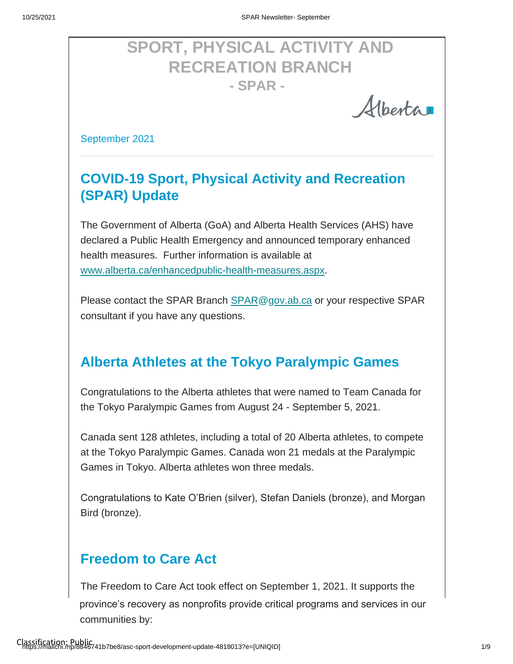# **SPORT, PHYSICAL ACTIVITY AND RECREATION BRANCH - SPAR -**

Albertar

September 2021

## **COVID-19 Sport, Physical Activity and Recreation (SPAR) Update**

The Government of Alberta (GoA) and Alberta Health Services (AHS) have declared a Public Health Emergency and announced temporary enhanced [health measures. Further information is available at](http://www.alberta.ca/enhanced-public-health-measures.aspx)  [www.alberta.ca/enhancedpublic-health-measures.aspx.](http://www.alberta.ca/enhanced-public-health-measures.aspx)

Please contact the SPAR Branch SPAR@gov.ab.ca or your respective SPAR consultant if you have any questions.

#### **Alberta Athletes at the Tokyo Paralympic Games**

Congratulations to the Alberta athletes that were named to Team Canada for the Tokyo Paralympic Games from August 24 - September 5, 2021.

Canada sent 128 athletes, including a total of 20 Alberta athletes, to compete at the Tokyo Paralympic Games. Canada won 21 medals at the Paralympic Games in Tokyo. Alberta athletes won three medals.

Congratulations to Kate O'Brien (silver), Stefan Daniels (bronze), and Morgan Bird (bronze).

#### **Freedom to Care Act**

The Freedom to Care Act took effect on September 1, 2021. It supports the province's recovery as nonprofits provide critical programs and services in our communities by: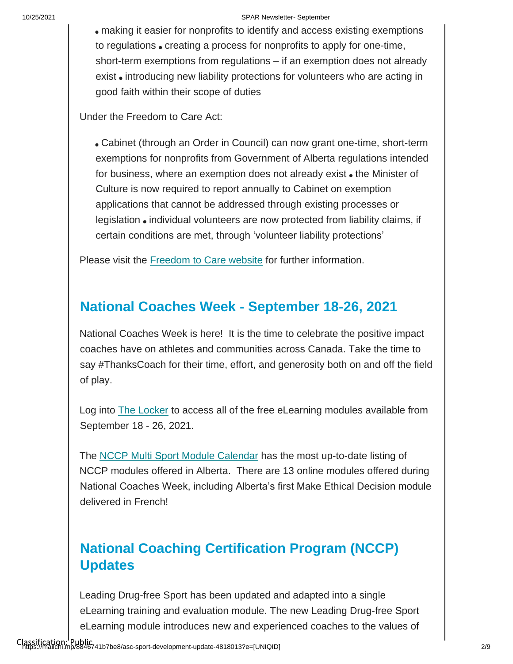#### 10/25/2021 SPAR Newsletter- September

making it easier for nonprofits to identify and access existing exemptions to regulations • creating a process for nonprofits to apply for one-time, short-term exemptions from regulations – if an exemption does not already exist introducing new liability protections for volunteers who are acting in good faith within their scope of duties

Under the Freedom to Care Act:

Cabinet (through an Order in Council) can now grant one-time, short-term exemptions for nonprofits from Government of Alberta regulations intended for business, where an exemption does not already exist  $\bullet$  the Minister of Culture is now required to report annually to Cabinet on exemption applications that cannot be addressed through existing processes or legislation • individual volunteers are now protected from liability claims, if certain conditions are met, through 'volunteer liability protections'

Please visit the [Freedom to Care website](https://www.alberta.ca/freedom-to-care.aspx) [f](https://www.alberta.ca/freedom-to-care.aspx)or further information.

#### **National Coaches Week - September 18-26, 2021**

National Coaches Week is here! It is the time to celebrate the positive impact coaches have on athletes and communities across Canada. Take the time to say #ThanksCoach for their time, effort, and generosity both on and off the field of play.

Log into [The Locker](https://thelocker.coach.ca/onlinelearning) to access all of the free eLearning modules available from September 18 - 26, 2021.

The [NCCP Multi Sport Module Calendar](https://albertasport.ca/nccp-module-calendar/) has the most up-to-date listing of NCCP modules offered in Alberta. There are 13 online modules offered during National Coaches Week, including Alberta's first Make Ethical Decision module delivered in French!

### **National Coaching Certification Program (NCCP) Updates**

Leading Drug-free Sport has been updated and adapted into a single eLearning training and evaluation module. The new Leading Drug-free Sport eLearning module introduces new and experienced coaches to the values of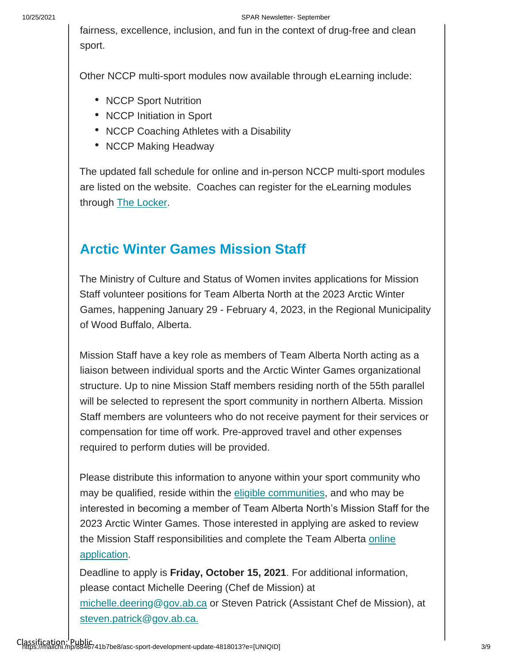fairness, excellence, inclusion, and fun in the context of drug-free and clean sport.

Other NCCP multi-sport modules now available through eLearning include:

- NCCP Sport Nutrition
- NCCP Initiation in Sport
- NCCP Coaching Athletes with a Disability
- NCCP Making Headway

The updated fall schedule for online and in-person NCCP multi-sport modules are listed on the website. Coaches can register for the eLearning modules through [The Locker.](https://thelocker.coach.ca/onlinelearning)

#### **Arctic Winter Games Mission Staff**

The Ministry of Culture and Status of Women invites applications for Mission Staff volunteer positions for Team Alberta North at the 2023 Arctic Winter Games, happening January 29 - February 4, 2023, in the Regional Municipality of Wood Buffalo, Alberta.

Mission Staff have a key role as members of Team Alberta North acting as a liaison between individual sports and the Arctic Winter Games organizational structure. Up to nine Mission Staff members residing north of the 55th parallel will be selected to represent the sport community in northern Alberta. Mission Staff members are volunteers who do not receive payment for their services or compensation for time off work. Pre-approved travel and other expenses required to perform duties will be provided.

Please distribute this information to anyone within your sport community who may be qualified, reside within the [eligible communities,](https://can01.safelinks.protection.outlook.com/?url=https%3A%2F%2Falbertasport.ca%2Fuploads%2FNorth-of-55-Communities.pdf&data=04%7C01%7Csheri.wilson%40gov.ab.ca%7Ce19ffb6ead134c4bef2908d972dd38a7%7C2bb51c06af9b42c58bf53c3b7b10850b%7C0%7C0%7C637667116720363250%7CUnknown%7CTWFpbGZsb3d8eyJWIjoiMC4wLjAwMDAiLCJQIjoiV2luMzIiLCJBTiI6Ik1haWwiLCJXVCI6Mn0%3D%7C1000&sdata=70yFsn8TBE%2B9v%2FDYUjADEFKUXYzqrJvd%2BE1%2Bwclk%2Bvg%3D&reserved=0) and who may be interested in becoming a member of Team Alberta North's Mission Staff for the 2023 Arctic Winter Games. Those interested in applying are asked to review the Mission Staff responsibilities and complete the Team Alberta online [application.](https://albertasport.ca/team-alberta/arctic-winter-games/mission-staff-application/)

Deadline to apply is **Friday, October 15, 2021**. For additional information, please contact Michelle Deering (Chef de Mission) at michelle.deering@gov.ab.ca or Steven Patrick (Assistant Chef de Mission), at steven.patrick@gov.ab.ca.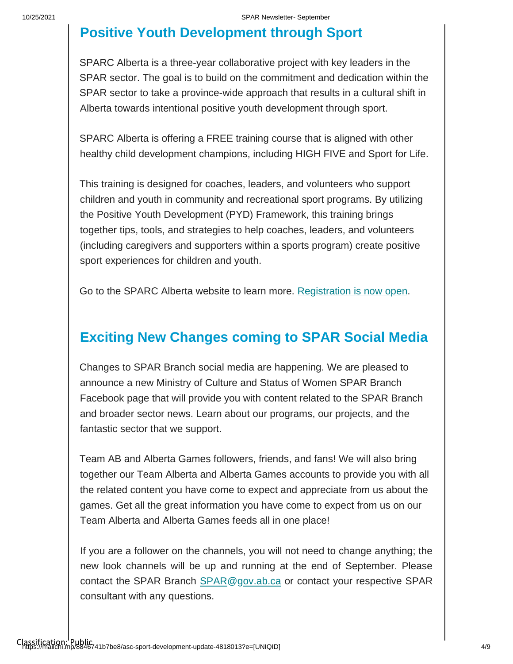### **Positive Youth Development through Sport**

SPARC Alberta is a three-year collaborative project with key leaders in the SPAR sector. The goal is to build on the commitment and dedication within the SPAR sector to take a province-wide approach that results in a cultural shift in Alberta towards intentional positive youth development through sport.

SPARC Alberta is offering a FREE training course that is aligned with other healthy child development champions, including HIGH FIVE and Sport for Life.

This training is designed for coaches, leaders, and volunteers who support children and youth in community and recreational sport programs. By utilizing the Positive Youth Development (PYD) Framework, this training brings together tips, tools, and strategies to help coaches, leaders, and volunteers (including caregivers and supporters within a sports program) create positive sport experiences for children and youth.

Go to the SPARC Alberta website to learn more. [Registration is now open.](https://www.sparcalberta.com/projects-2)

#### **Exciting New Changes coming to SPAR Social Media**

Changes to SPAR Branch social media are happening. We are pleased to announce a new Ministry of Culture and Status of Women SPAR Branch Facebook page that will provide you with content related to the SPAR Branch and broader sector news. Learn about our programs, our projects, and the fantastic sector that we support.

Team AB and Alberta Games followers, friends, and fans! We will also bring together our Team Alberta and Alberta Games accounts to provide you with all the related content you have come to expect and appreciate from us about the games. Get all the great information you have come to expect from us on our Team Alberta and Alberta Games feeds all in one place!

If you are a follower on the channels, you will not need to change anything; the new look channels will be up and running at the end of September. Please contact the SPAR Branch SPAR@gov.ab.ca or contact your respective SPAR consultant with any questions.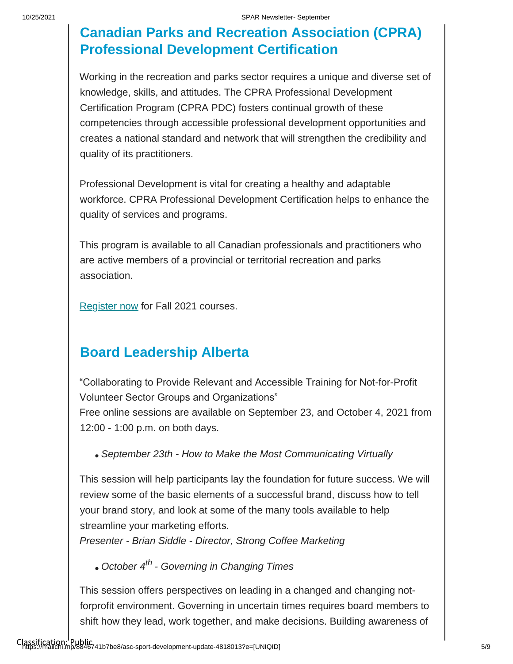### **Canadian Parks and Recreation Association (CPRA) Professional Development Certification**

Working in the recreation and parks sector requires a unique and diverse set of knowledge, skills, and attitudes. The CPRA Professional Development Certification Program (CPRA PDC) fosters continual growth of these competencies through accessible professional development opportunities and creates a national standard and network that will strengthen the credibility and quality of its practitioners.

Professional Development is vital for creating a healthy and adaptable workforce. CPRA Professional Development Certification helps to enhance the quality of services and programs.

This program is available to all Canadian professionals and practitioners who are active members of a provincial or territorial recreation and parks association.

[Register now](https://cprapdc.ca/shop/) for Fall 2021 courses.

#### **Board Leadership Alberta**

"Collaborating to Provide Relevant and Accessible Training for Not-for-Profit Volunteer Sector Groups and Organizations"

Free online sessions are available on September 23, and October 4, 2021 from 12:00 - 1:00 p.m. on both days.

*September 23th - How to Make the Most Communicating Virtually*

This session will help participants lay the foundation for future success. We will review some of the basic elements of a successful brand, discuss how to tell your brand story, and look at some of the many tools available to help streamline your marketing efforts.

*Presenter - Brian Siddle - Director, Strong Coffee Marketing*

*October 4th - Governing in Changing Times*

This session offers perspectives on leading in a changed and changing notforprofit environment. Governing in uncertain times requires board members to shift how they lead, work together, and make decisions. Building awareness of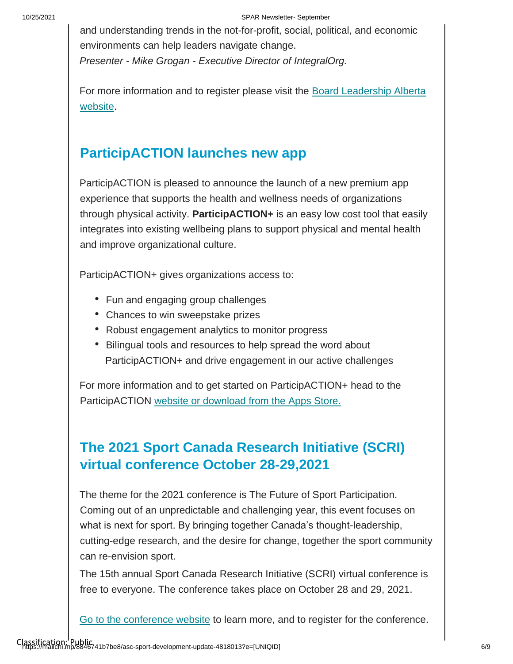and understanding trends in the not-for-profit, social, political, and economic environments can help leaders navigate change. *Presenter - Mike Grogan - Executive Director of IntegralOrg.*

[For more information and to register please visit the Board Leadership Alberta](https://www.boardleadershipalberta.ca/)  [website.](https://www.boardleadershipalberta.ca/)

#### **ParticipACTION launches new app**

ParticipACTION is pleased to announce the launch of a new premium app experience that supports the health and wellness needs of organizations through physical activity. **ParticipACTION+** is an easy low cost tool that easily integrates into existing wellbeing plans to support physical and mental health and improve organizational culture.

ParticipACTION+ gives organizations access to:

- Fun and engaging group challenges
- Chances to win sweepstake prizes
- Robust engagement analytics to monitor progress
- Bilingual tools and resources to help spread the word about ParticipACTION+ and drive engagement in our active challenges

For more information and to get started on ParticipACTION+ head to the ParticipACTION [website or download from the Apps Store.](https://www.participaction.com/en-ca/participactionplus?utm_term=PARTICIPACTION%2B&utm_campaign=PAC%2B_Stakeholder_Aug11_Bilingual&utm_content=email&utm_source=Sector&utm_medium=Email&cm_mmc=Act-On%20Software-_-email-_-Introducing%20ParticipACTION%2B%20%2F%2F%20Voici%20ParticipACTION%2B%20-_-PARTICIPACTION%2B)

### **The 2021 Sport Canada Research Initiative (SCRI) virtual conference October 28-29,2021**

The theme for the 2021 conference is The Future of Sport Participation. Coming out of an unpredictable and challenging year, this event focuses on what is next for sport. By bringing together Canada's thought-leadership, cutting-edge research, and the desire for change, together the sport community can re-envision sport.

The 15th annual Sport Canada Research Initiative (SCRI) virtual conference is free to everyone. The conference takes place on October 28 and 29, 2021.

[Go to the conference website](https://sirc.ca/scri/) to learn more, and to register for the conference.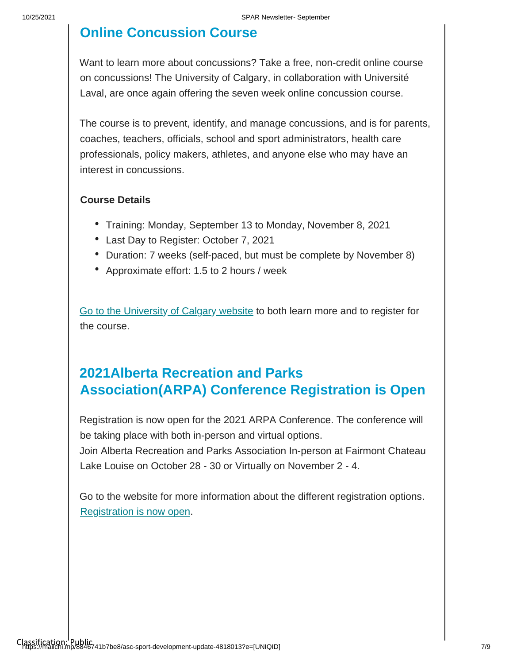#### **Online Concussion Course**

Want to learn more about concussions? Take a free, non-credit online course on concussions! The University of Calgary, in collaboration with Université Laval, are once again offering the seven week online concussion course.

The course is to prevent, identify, and manage concussions, and is for parents, coaches, teachers, officials, school and sport administrators, health care professionals, policy makers, athletes, and anyone else who may have an interest in concussions.

#### **Course Details**

- Training: Monday, September 13 to Monday, November 8, 2021
- Last Day to Register: October 7, 2021
- Duration: 7 weeks (self-paced, but must be complete by November 8)
- Approximate effort: 1.5 to 2 hours / week

[Go to the University](https://kinesiology.ucalgary.ca/current-students/online-concussion-course?mkt_tok=MTYxLU9MTi05OTAAAAF_GD05U4lbvuMApzrRABE_BywgdWDFgLeEGSEjmOVzNtps9asS0-wq5xr0YnRg6JlO075O415XSP0bfn3zYugStXO4KQ8uxgxZucjqlYQnf6aaGAg) [of Calgary](https://kinesiology.ucalgary.ca/current-students/online-concussion-course?mkt_tok=MTYxLU9MTi05OTAAAAF_GD05U4lbvuMApzrRABE_BywgdWDFgLeEGSEjmOVzNtps9asS0-wq5xr0YnRg6JlO075O415XSP0bfn3zYugStXO4KQ8uxgxZucjqlYQnf6aaGAg) [website](https://kinesiology.ucalgary.ca/current-students/online-concussion-course?mkt_tok=MTYxLU9MTi05OTAAAAF_GD05U4lbvuMApzrRABE_BywgdWDFgLeEGSEjmOVzNtps9asS0-wq5xr0YnRg6JlO075O415XSP0bfn3zYugStXO4KQ8uxgxZucjqlYQnf6aaGAg) to both learn more and to register for the course.

#### **2021Alberta Recreation and Parks Association(ARPA) Conference Registration is Open**

Registration is now open for the 2021 ARPA Conference. The conference will be taking place with both in-person and virtual options.

Join Alberta Recreation and Parks Association In-person at Fairmont Chateau Lake Louise on October 28 - 30 or Virtually on November 2 - 4.

Go to the website for more information about the different registration options. [Registration is now open.](https://arpaonline.regfox.com/2021-arpa-conference)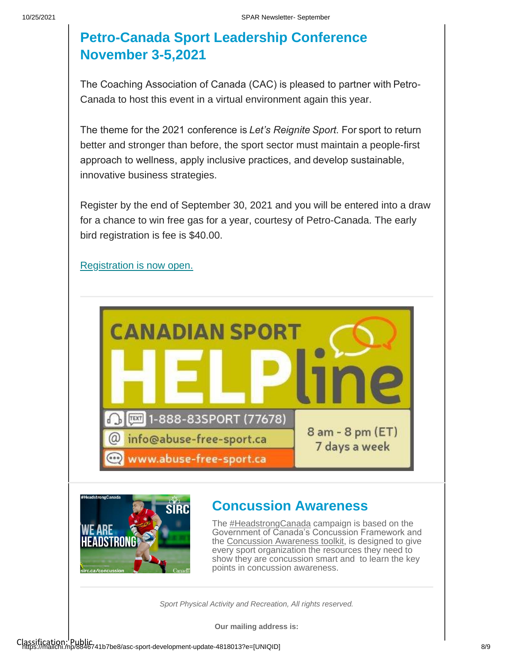#### **Petro-Canada Sport Leadership Conference November 3-5,2021**

The Coaching Association of Canada (CAC) is pleased to partner with Petro-Canada to host this event in a virtual environment again this year.

The theme for the 2021 conference is *Let's Reignite Sport*. For sport to return better and stronger than before, the sport sector must maintain a people-first approach to wellness, apply inclusive practices, and develop sustainable, innovative business strategies.

Register by the end of September 30, 2021 and you will be entered into a draw for a chance to win free gas for a year, courtesy of Petro-Canada. The early bird registration is fee is \$40.00.

[Registration is now open.](https://coach.ca/petro-canada-sport-leadership-sportif-conference?utm_source=CAC+-+Inside+Coaching&utm_campaign=7cf4e161c4-EMAIL_CAMPAIGN_2018_04_17_COPY_01&utm_medium=email&utm_term=0_b810808a44-7cf4e161c4-193564069)





#### **Concussion Awareness**

The **#HeadstrongCanada** campaign is based on the Government of Canada'[s C](https://twitter.com/hashtag/headstrongcanada)oncussion Framework and the [Concussion Awareness toolkit,](https://sirc.ca/concussion) is designed to give every sport organization the reso[urc](https://sirc.ca/concussion)es they need to show they are concussion smart and to learn the key points in concussion awareness.

*Sport Physical Activity and Recreation, All rights reserved.*

**Our mailing address is:**